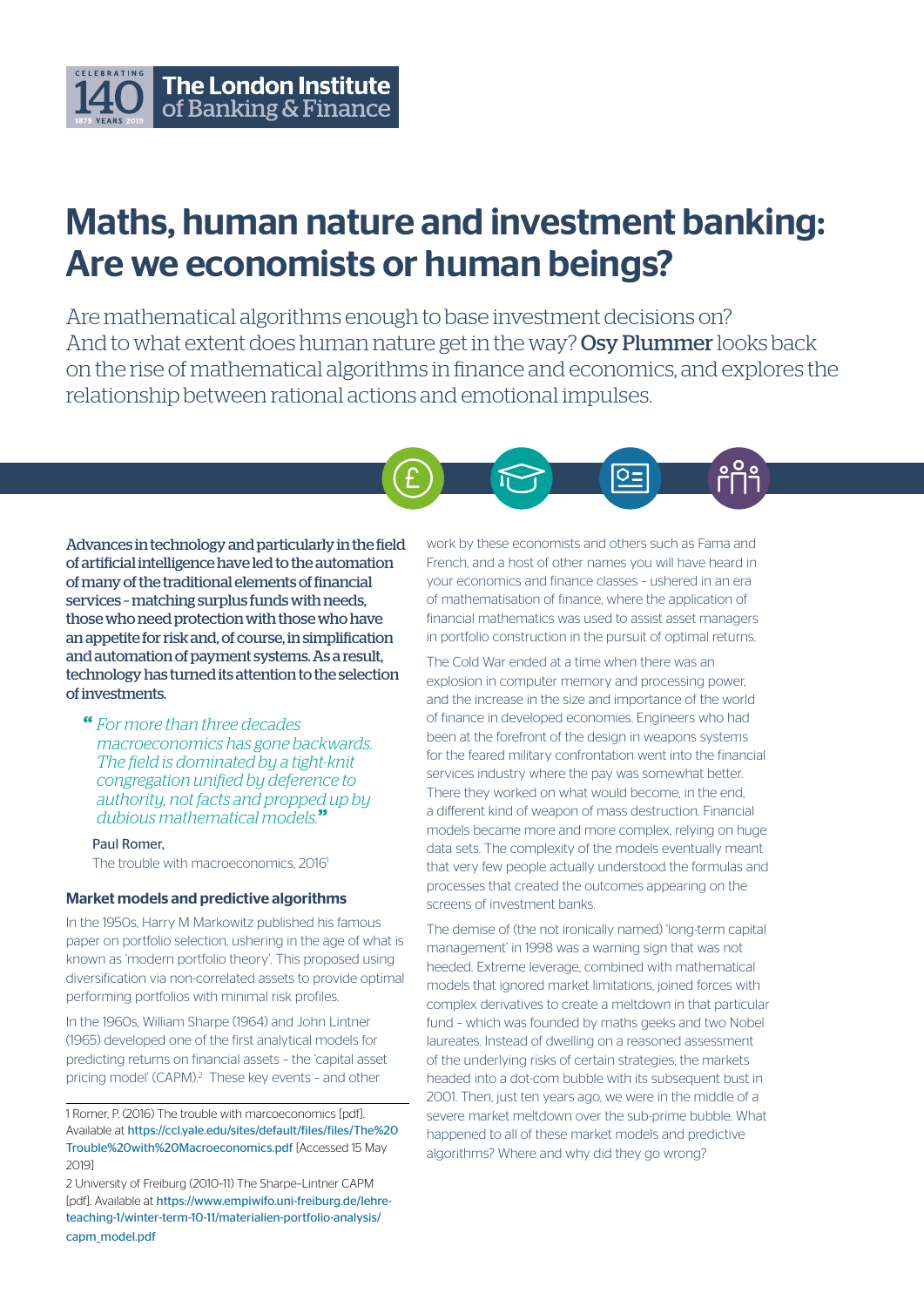# The London Institute of Banking & Finance

# Maths, human nature and investment banking: Are we economists or human beings?

Are mathematical algorithms enough to base investment decisions on? And to what extent does human nature get in the way? Osy Plummer looks back on the rise of mathematical algorithms in finance and economics, and explores the relationship between rational actions and emotional impulses.



Advances in technology and particularly in the field of artificial intelligence have led to the automation of many of the traditional elements of financial services – matching surplus funds with needs, those who need protection with those who have an appetite for risk and, of course, in simplification and automation of payment systems. As a result, technology has turned its attention to the selection of investments.

" *For more than three decades macroeconomics has gone backwards. The field is dominated by a tight-knit congregation unified by deference to authority, not facts and propped up by dubious mathematical models.*"

Paul Romer, The trouble with macroeconomics, 2016<sup>1</sup>

#### Market models and predictive algorithms

In the 1950s, Harry M Markowitz published his famous paper on portfolio selection, ushering in the age of what is known as 'modern portfolio theory'. This proposed using diversification via non-correlated assets to provide optimal performing portfolios with minimal risk profiles.

In the 1960s, William Sharpe (1964) and John Lintner (1965) developed one of the first analytical models for predicting returns on financial assets – the 'capital asset pricing model' (CAPM).<sup>2</sup> These key events - and other

1 Romer, P. (2016) The trouble with marcoeconomics [pdf]. Available at https://ccl.yale.edu/sites/default/files/files/The%20 Trouble%20with%20Macroeconomics.pdf [Accessed 15 May 2019]

2 University of Freiburg (2010–11) The Sharpe–Lintner CAPM [pdf]. Available at https://www.empiwifo.uni-freiburg.de/lehreteaching-1/winter-term-10-11/materialien-portfolio-analysis/ capm\_model.pdf

work by these economists and others such as Fama and French, and a host of other names you will have heard in your economics and finance classes – ushered in an era of mathematisation of finance, where the application of financial mathematics was used to assist asset managers in portfolio construction in the pursuit of optimal returns.

The Cold War ended at a time when there was an explosion in computer memory and processing power, and the increase in the size and importance of the world of finance in developed economies. Engineers who had been at the forefront of the design in weapons systems for the feared military confrontation went into the financial services industry where the pay was somewhat better. There they worked on what would become, in the end, a different kind of weapon of mass destruction. Financial models became more and more complex, relying on huge data sets. The complexity of the models eventually meant that very few people actually understood the formulas and processes that created the outcomes appearing on the screens of investment banks.

The demise of (the not ironically named) 'long-term capital management' in 1998 was a warning sign that was not heeded. Extreme leverage, combined with mathematical models that ignored market limitations, joined forces with complex derivatives to create a meltdown in that particular fund – which was founded by maths geeks and two Nobel laureates. Instead of dwelling on a reasoned assessment of the underlying risks of certain strategies, the markets headed into a dot-com bubble with its subsequent bust in 2001. Then, just ten years ago, we were in the middle of a severe market meltdown over the sub-prime bubble. What happened to all of these market models and predictive algorithms? Where and why did they go wrong?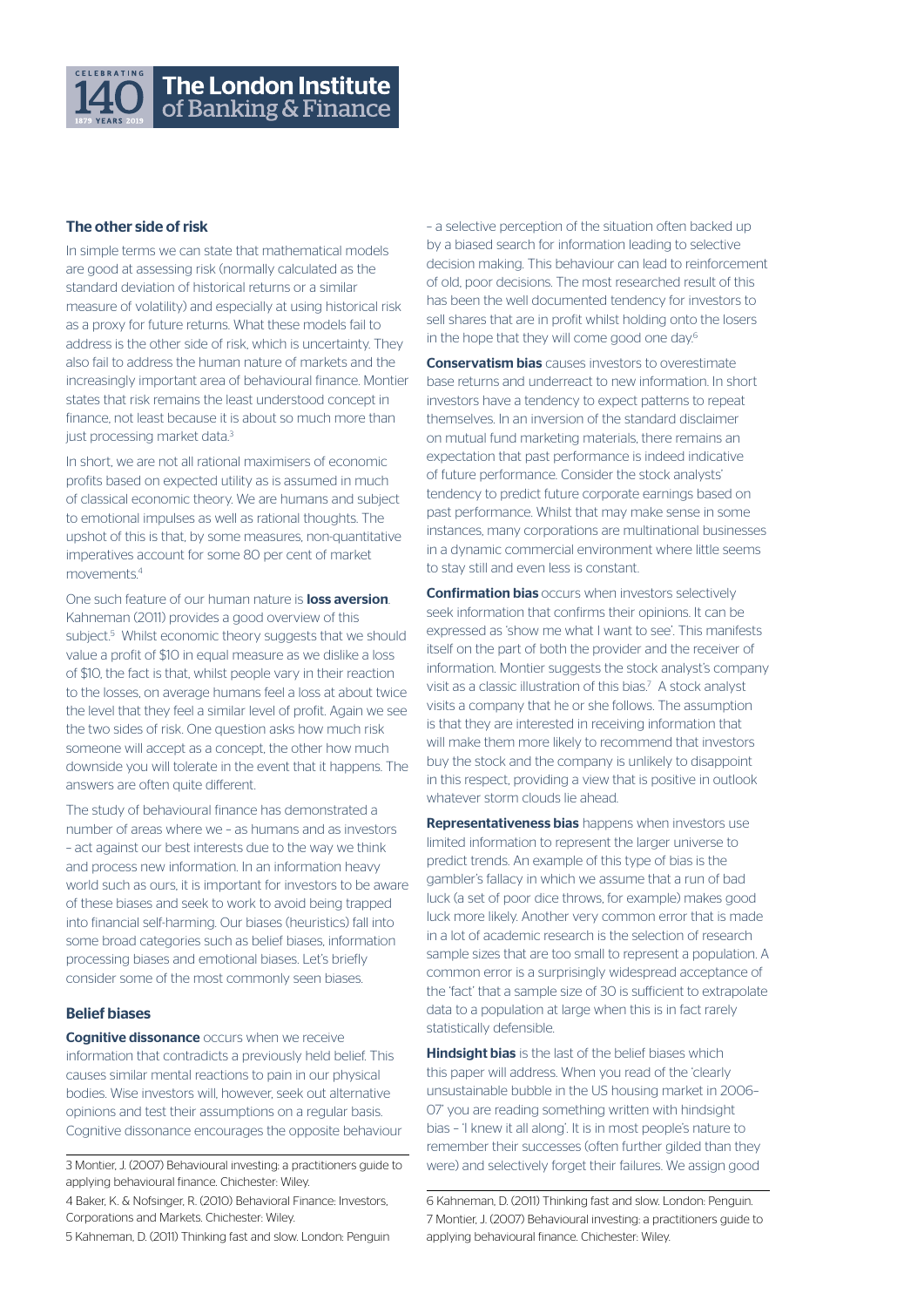

## The other side of risk

In simple terms we can state that mathematical models are good at assessing risk (normally calculated as the standard deviation of historical returns or a similar measure of volatility) and especially at using historical risk as a proxy for future returns. What these models fail to address is the other side of risk, which is uncertainty. They also fail to address the human nature of markets and the increasingly important area of behavioural finance. Montier states that risk remains the least understood concept in finance, not least because it is about so much more than just processing market data.<sup>3</sup>

In short, we are not all rational maximisers of economic profits based on expected utility as is assumed in much of classical economic theory. We are humans and subject to emotional impulses as well as rational thoughts. The upshot of this is that, by some measures, non-quantitative imperatives account for some 80 per cent of market movements.4

One such feature of our human nature is **loss aversion**. Kahneman (2011) provides a good overview of this subject.<sup>5</sup> Whilst economic theory suggests that we should value a profit of \$10 in equal measure as we dislike a loss of \$10, the fact is that, whilst people vary in their reaction to the losses, on average humans feel a loss at about twice the level that they feel a similar level of profit. Again we see the two sides of risk. One question asks how much risk someone will accept as a concept, the other how much downside you will tolerate in the event that it happens. The answers are often quite different.

The study of behavioural finance has demonstrated a number of areas where we – as humans and as investors – act against our best interests due to the way we think and process new information. In an information heavy world such as ours, it is important for investors to be aware of these biases and seek to work to avoid being trapped into financial self-harming. Our biases (heuristics) fall into some broad categories such as belief biases, information processing biases and emotional biases. Let's briefly consider some of the most commonly seen biases.

#### Belief biases

**Cognitive dissonance** occurs when we receive information that contradicts a previously held belief. This causes similar mental reactions to pain in our physical bodies. Wise investors will, however, seek out alternative opinions and test their assumptions on a regular basis. Cognitive dissonance encourages the opposite behaviour

3 Montier, J. (2007) Behavioural investing: a practitioners guide to applying behavioural finance. Chichester: Wiley.

– a selective perception of the situation often backed up by a biased search for information leading to selective decision making. This behaviour can lead to reinforcement of old, poor decisions. The most researched result of this has been the well documented tendency for investors to sell shares that are in profit whilst holding onto the losers in the hope that they will come good one day.<sup>6</sup>

**Conservatism bias** causes investors to overestimate base returns and underreact to new information. In short investors have a tendency to expect patterns to repeat themselves. In an inversion of the standard disclaimer on mutual fund marketing materials, there remains an expectation that past performance is indeed indicative of future performance. Consider the stock analysts' tendency to predict future corporate earnings based on past performance. Whilst that may make sense in some instances, many corporations are multinational businesses in a dynamic commercial environment where little seems to stay still and even less is constant.

**Confirmation bias** occurs when investors selectively seek information that confirms their opinions. It can be expressed as 'show me what I want to see'. This manifests itself on the part of both the provider and the receiver of information. Montier suggests the stock analyst's company visit as a classic illustration of this bias.<sup>7</sup> A stock analyst visits a company that he or she follows. The assumption is that they are interested in receiving information that will make them more likely to recommend that investors buy the stock and the company is unlikely to disappoint in this respect, providing a view that is positive in outlook whatever storm clouds lie ahead.

Representativeness bias happens when investors use limited information to represent the larger universe to predict trends. An example of this type of bias is the gambler's fallacy in which we assume that a run of bad luck (a set of poor dice throws, for example) makes good luck more likely. Another very common error that is made in a lot of academic research is the selection of research sample sizes that are too small to represent a population. A common error is a surprisingly widespread acceptance of the 'fact' that a sample size of 30 is sufficient to extrapolate data to a population at large when this is in fact rarely statistically defensible.

Hindsight bias is the last of the belief biases which this paper will address. When you read of the 'clearly unsustainable bubble in the US housing market in 2006– 07' you are reading something written with hindsight bias – 'I knew it all along'. It is in most people's nature to remember their successes (often further gilded than they were) and selectively forget their failures. We assign good

6 Kahneman, D. (2011) Thinking fast and slow. London: Penguin. 7 Montier, J. (2007) Behavioural investing: a practitioners guide to applying behavioural finance. Chichester: Wiley.

<sup>4</sup> Baker, K. & Nofsinger, R. (2010) Behavioral Finance: Investors, Corporations and Markets. Chichester: Wiley.

<sup>5</sup> Kahneman, D. (2011) Thinking fast and slow. London: Penguin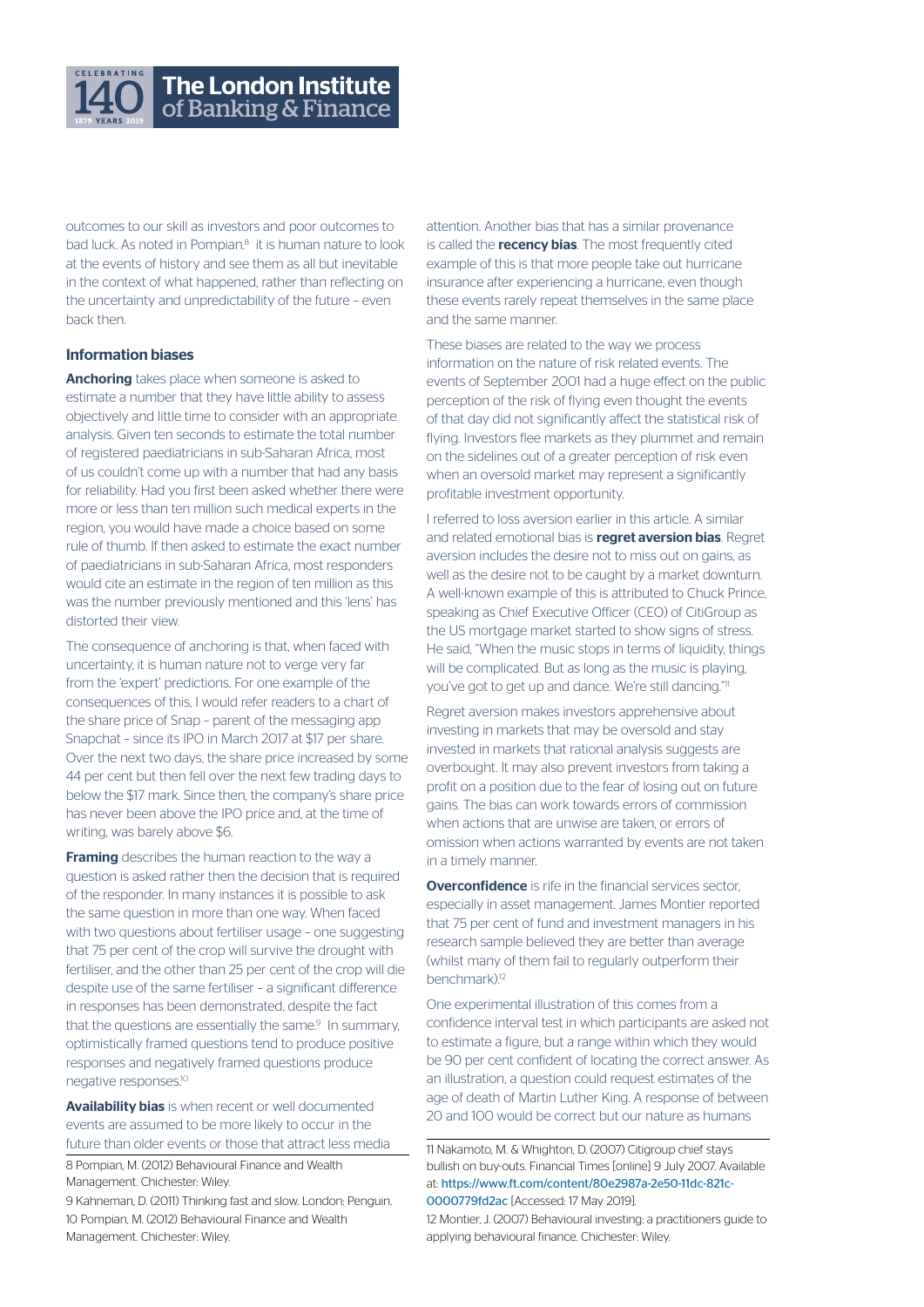

outcomes to our skill as investors and poor outcomes to bad luck. As noted in Pompian.<sup>8</sup> it is human nature to look at the events of history and see them as all but inevitable in the context of what happened, rather than reflecting on the uncertainty and unpredictability of the future – even back then.

### Information biases

Anchoring takes place when someone is asked to estimate a number that they have little ability to assess objectively and little time to consider with an appropriate analysis. Given ten seconds to estimate the total number of registered paediatricians in sub-Saharan Africa, most of us couldn't come up with a number that had any basis for reliability. Had you first been asked whether there were more or less than ten million such medical experts in the region, you would have made a choice based on some rule of thumb. If then asked to estimate the exact number of paediatricians in sub-Saharan Africa, most responders would cite an estimate in the region of ten million as this was the number previously mentioned and this 'lens' has distorted their view.

The consequence of anchoring is that, when faced with uncertainty, it is human nature not to verge very far from the 'expert' predictions. For one example of the consequences of this, I would refer readers to a chart of the share price of Snap – parent of the messaging app Snapchat – since its IPO in March 2017 at \$17 per share. Over the next two days, the share price increased by some 44 per cent but then fell over the next few trading days to below the \$17 mark. Since then, the company's share price has never been above the IPO price and, at the time of writing, was barely above \$6.

**Framing** describes the human reaction to the way a question is asked rather then the decision that is required of the responder. In many instances it is possible to ask the same question in more than one way. When faced with two questions about fertiliser usage – one suggesting that 75 per cent of the crop will survive the drought with fertiliser, and the other than 25 per cent of the crop will die despite use of the same fertiliser – a significant difference in responses has been demonstrated, despite the fact that the questions are essentially the same.<sup>9</sup> In summary, optimistically framed questions tend to produce positive responses and negatively framed questions produce negative responses.10

Availability bias is when recent or well documented events are assumed to be more likely to occur in the future than older events or those that attract less media

8 Pompian, M. (2012) Behavioural Finance and Wealth Management. Chichester: Wiley.

9 Kahneman, D. (2011) Thinking fast and slow. London: Penguin. 10 Pompian, M. (2012) Behavioural Finance and Wealth Management. Chichester: Wiley.

attention. Another bias that has a similar provenance is called the **recency bias**. The most frequently cited example of this is that more people take out hurricane insurance after experiencing a hurricane, even though these events rarely repeat themselves in the same place and the same manner.

These biases are related to the way we process information on the nature of risk related events. The events of September 2001 had a huge effect on the public perception of the risk of flying even thought the events of that day did not significantly affect the statistical risk of flying. Investors flee markets as they plummet and remain on the sidelines out of a greater perception of risk even when an oversold market may represent a significantly profitable investment opportunity.

I referred to loss aversion earlier in this article. A similar and related emotional bias is **regret aversion bias**. Regret aversion includes the desire not to miss out on gains, as well as the desire not to be caught by a market downturn. A well-known example of this is attributed to Chuck Prince, speaking as Chief Executive Officer (CEO) of CitiGroup as the US mortgage market started to show signs of stress. He said, "When the music stops in terms of liquidity, things will be complicated. But as long as the music is playing, you've got to get up and dance. We're still dancing."11

Regret aversion makes investors apprehensive about investing in markets that may be oversold and stay invested in markets that rational analysis suggests are overbought. It may also prevent investors from taking a profit on a position due to the fear of losing out on future gains. The bias can work towards errors of commission when actions that are unwise are taken, or errors of omission when actions warranted by events are not taken in a timely manner.

**Overconfidence** is rife in the financial services sector, especially in asset management. James Montier reported that 75 per cent of fund and investment managers in his research sample believed they are better than average (whilst many of them fail to regularly outperform their benchmark).<sup>12</sup>

One experimental illustration of this comes from a confidence interval test in which participants are asked not to estimate a figure, but a range within which they would be 90 per cent confident of locating the correct answer. As an illustration, a question could request estimates of the age of death of Martin Luther King. A response of between 20 and 100 would be correct but our nature as humans

11 Nakamoto, M. & Whighton, D. (2007) Citigroup chief stays bullish on buy-outs. Financial Times [online] 9 July 2007. Available at: https://www.ft.com/content/80e2987a-2e50-11dc-821c-0000779fd2ac [Accessed: 17 May 2019].

12 Montier, J. (2007) Behavioural investing: a practitioners guide to applying behavioural finance. Chichester: Wiley.